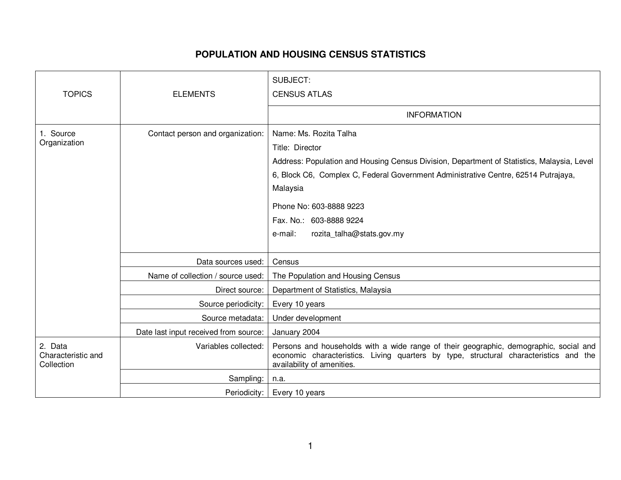## **POPULATION AND HOUSING CENSUS STATISTICS**

| <b>TOPICS</b>                               | <b>ELEMENTS</b>                       | SUBJECT:<br><b>CENSUS ATLAS</b>                                                                                                                                                                                                                                                                                                         |
|---------------------------------------------|---------------------------------------|-----------------------------------------------------------------------------------------------------------------------------------------------------------------------------------------------------------------------------------------------------------------------------------------------------------------------------------------|
|                                             |                                       | <b>INFORMATION</b>                                                                                                                                                                                                                                                                                                                      |
| 1. Source<br>Organization                   | Contact person and organization:      | Name: Ms. Rozita Talha<br>Title: Director<br>Address: Population and Housing Census Division, Department of Statistics, Malaysia, Level<br>6, Block C6, Complex C, Federal Government Administrative Centre, 62514 Putrajaya,<br>Malaysia<br>Phone No: 603-8888 9223<br>Fax. No.: 603-8888 9224<br>rozita_talha@stats.gov.my<br>e-mail: |
|                                             | Data sources used:                    | Census                                                                                                                                                                                                                                                                                                                                  |
|                                             | Name of collection / source used:     | The Population and Housing Census                                                                                                                                                                                                                                                                                                       |
|                                             | Direct source:                        | Department of Statistics, Malaysia                                                                                                                                                                                                                                                                                                      |
|                                             | Source periodicity:                   | Every 10 years                                                                                                                                                                                                                                                                                                                          |
|                                             | Source metadata:                      | Under development                                                                                                                                                                                                                                                                                                                       |
|                                             | Date last input received from source: | January 2004                                                                                                                                                                                                                                                                                                                            |
| 2. Data<br>Characteristic and<br>Collection | Variables collected:                  | Persons and households with a wide range of their geographic, demographic, social and<br>economic characteristics. Living quarters by type, structural characteristics and the<br>availability of amenities.                                                                                                                            |
|                                             | Sampling:                             | n.a.                                                                                                                                                                                                                                                                                                                                    |
|                                             | Periodicity:                          | Every 10 years                                                                                                                                                                                                                                                                                                                          |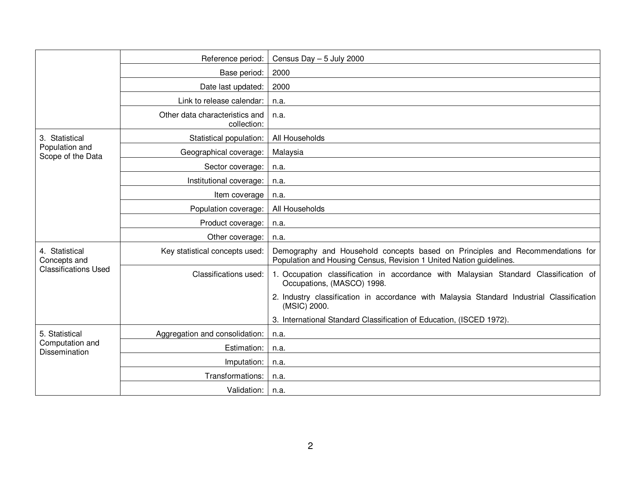|                                                               | Reference period:                             | Census Day $-5$ July 2000                                                                                                                            |
|---------------------------------------------------------------|-----------------------------------------------|------------------------------------------------------------------------------------------------------------------------------------------------------|
|                                                               | Base period:                                  | 2000                                                                                                                                                 |
|                                                               | Date last updated:                            | 2000                                                                                                                                                 |
|                                                               | Link to release calendar:                     | n.a.                                                                                                                                                 |
|                                                               | Other data characteristics and<br>collection: | n.a.                                                                                                                                                 |
| 3. Statistical<br>Population and<br>Scope of the Data         | Statistical population:                       | All Households                                                                                                                                       |
|                                                               | Geographical coverage:                        | Malaysia                                                                                                                                             |
|                                                               | Sector coverage:                              | n.a.                                                                                                                                                 |
|                                                               | Institutional coverage:                       | n.a.                                                                                                                                                 |
|                                                               | Item coverage                                 | n.a.                                                                                                                                                 |
|                                                               | Population coverage:                          | All Households                                                                                                                                       |
|                                                               | Product coverage:                             | n.a.                                                                                                                                                 |
|                                                               | Other coverage:                               | n.a.                                                                                                                                                 |
| 4. Statistical<br>Concepts and<br><b>Classifications Used</b> | Key statistical concepts used:                | Demography and Household concepts based on Principles and Recommendations for<br>Population and Housing Census, Revision 1 United Nation guidelines. |
|                                                               | Classifications used:                         | 1. Occupation classification in accordance with Malaysian Standard Classification of<br>Occupations, (MASCO) 1998.                                   |
|                                                               |                                               | 2. Industry classification in accordance with Malaysia Standard Industrial Classification<br>(MSIC) 2000.                                            |
|                                                               |                                               | 3. International Standard Classification of Education, (ISCED 1972).                                                                                 |
| 5. Statistical<br>Computation and<br>Dissemination            | Aggregation and consolidation:                | n.a.                                                                                                                                                 |
|                                                               | Estimation:                                   | n.a.                                                                                                                                                 |
|                                                               | Imputation:                                   | n.a.                                                                                                                                                 |
|                                                               | Transformations:                              | n.a.                                                                                                                                                 |
|                                                               | Validation:                                   | n.a.                                                                                                                                                 |